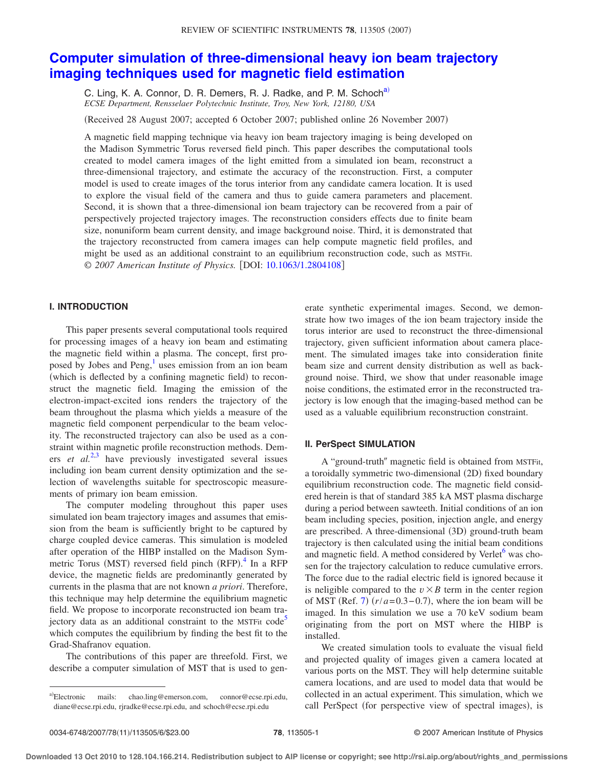# **[Computer simulation of three-dimensional heavy ion beam trajectory](http://dx.doi.org/10.1063/1.2804108) [imaging techniques used for magnetic field estimation](http://dx.doi.org/10.1063/1.2804108)**

C. Ling, K. A. Connor, D. R. Demers, R. J. Radke, and P. M. Schoch<sup>a)</sup> *ECSE Department, Rensselaer Polytechnic Institute, Troy, New York, 12180, USA*

(Received 28 August 2007; accepted 6 October 2007; published online 26 November 2007)

A magnetic field mapping technique via heavy ion beam trajectory imaging is being developed on the Madison Symmetric Torus reversed field pinch. This paper describes the computational tools created to model camera images of the light emitted from a simulated ion beam, reconstruct a three-dimensional trajectory, and estimate the accuracy of the reconstruction. First, a computer model is used to create images of the torus interior from any candidate camera location. It is used to explore the visual field of the camera and thus to guide camera parameters and placement. Second, it is shown that a three-dimensional ion beam trajectory can be recovered from a pair of perspectively projected trajectory images. The reconstruction considers effects due to finite beam size, nonuniform beam current density, and image background noise. Third, it is demonstrated that the trajectory reconstructed from camera images can help compute magnetic field profiles, and might be used as an additional constraint to an equilibrium reconstruction code, such as MSTFit. © 2007 American Institute of Physics. [DOI: [10.1063/1.2804108](http://dx.doi.org/10.1063/1.2804108)]

# **I. INTRODUCTION**

This paper presents several computational tools required for processing images of a heavy ion beam and estimating the magnetic field within a plasma. The concept, first proposed by Jobes and Peng,<sup>1</sup> uses emission from an ion beam (which is deflected by a confining magnetic field) to reconstruct the magnetic field. Imaging the emission of the electron-impact-excited ions renders the trajectory of the beam throughout the plasma which yields a measure of the magnetic field component perpendicular to the beam velocity. The reconstructed trajectory can also be used as a constraint within magnetic profile reconstruction methods. Demers *et al.*<sup>[2,](#page-5-1)[3](#page-5-2)</sup> have previously investigated several issues including ion beam current density optimization and the selection of wavelengths suitable for spectroscopic measurements of primary ion beam emission.

The computer modeling throughout this paper uses simulated ion beam trajectory images and assumes that emission from the beam is sufficiently bright to be captured by charge coupled device cameras. This simulation is modeled after operation of the HIBP installed on the Madison Sym-metric Torus (MST) reversed field pinch (RFP).<sup>[4](#page-5-3)</sup> In a RFP device, the magnetic fields are predominantly generated by currents in the plasma that are not known *a priori*. Therefore, this technique may help determine the equilibrium magnetic field. We propose to incorporate reconstructed ion beam trajectory data as an additional constraint to the MSTFit code<sup>5</sup> which computes the equilibrium by finding the best fit to the Grad-Shafranov equation.

The contributions of this paper are threefold. First, we describe a computer simulation of MST that is used to generate synthetic experimental images. Second, we demonstrate how two images of the ion beam trajectory inside the torus interior are used to reconstruct the three-dimensional trajectory, given sufficient information about camera placement. The simulated images take into consideration finite beam size and current density distribution as well as background noise. Third, we show that under reasonable image noise conditions, the estimated error in the reconstructed trajectory is low enough that the imaging-based method can be used as a valuable equilibrium reconstruction constraint.

# **II. PerSpect SIMULATION**

A "ground-truth" magnetic field is obtained from MSTFit, a toroidally symmetric two-dimensional (2D) fixed boundary equilibrium reconstruction code. The magnetic field considered herein is that of standard 385 kA MST plasma discharge during a period between sawteeth. Initial conditions of an ion beam including species, position, injection angle, and energy are prescribed. A three-dimensional (3D) ground-truth beam trajectory is then calculated using the initial beam conditions and magnetic field. A method considered by Verlet<sup>6</sup> was chosen for the trajectory calculation to reduce cumulative errors. The force due to the radial electric field is ignored because it is neligible compared to the  $v \times B$  term in the center region of MST (Ref. [7](#page-5-6))  $(r/a=0.3-0.7)$ , where the ion beam will be imaged. In this simulation we use a 70 keV sodium beam originating from the port on MST where the HIBP is installed.

We created simulation tools to evaluate the visual field and projected quality of images given a camera located at various ports on the MST. They will help determine suitable camera locations, and are used to model data that would be collected in an actual experiment. This simulation, which we call PerSpect (for perspective view of spectral images), is

<span id="page-0-0"></span>a)Electronic mails: chao.ling@emerson.com, connor@ecse.rpi.edu, diane@ecse.rpi.edu, rjradke@ecse.rpi.edu, and schoch@ecse.rpi.edu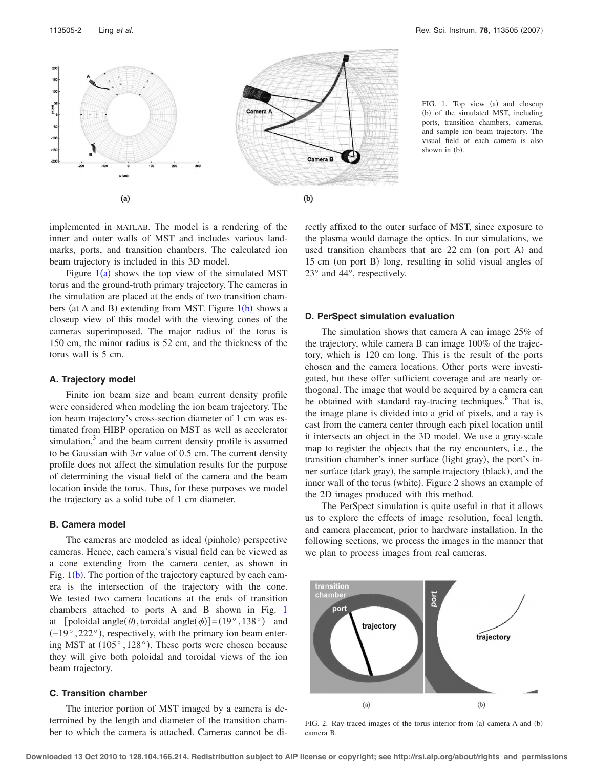<span id="page-1-0"></span>

FIG. 1. Top view (a) and closeup (b) of the simulated MST, including ports, transition chambers, cameras, and sample ion beam trajectory. The visual field of each camera is also shown in  $(h)$ .

implemented in MATLAB. The model is a rendering of the inner and outer walls of MST and includes various landmarks, ports, and transition chambers. The calculated ion beam trajectory is included in this 3D model.

Figure  $1(a)$  $1(a)$  shows the top view of the simulated MST torus and the ground-truth primary trajectory. The cameras in the simulation are placed at the ends of two transition cham[b](#page-1-0)ers (at A and B) extending from MST. Figure  $1(b)$  shows a closeup view of this model with the viewing cones of the cameras superimposed. The major radius of the torus is 150 cm, the minor radius is 52 cm, and the thickness of the torus wall is 5 cm.

### **A. Trajectory model**

Finite ion beam size and beam current density profile were considered when modeling the ion beam trajectory. The ion beam trajectory's cross-section diameter of 1 cm was estimated from HIBP operation on MST as well as accelerator simulation, $\frac{3}{2}$  and the beam current density profile is assumed to be Gaussian with  $3\sigma$  value of 0.5 cm. The current density profile does not affect the simulation results for the purpose of determining the visual field of the camera and the beam location inside the torus. Thus, for these purposes we model the trajectory as a solid tube of 1 cm diameter.

#### **B. Camera model**

The cameras are modeled as ideal (pinhole) perspective cameras. Hence, each camera's visual field can be viewed as a cone extending from the camera center, as shown in Fig.  $1(b)$  $1(b)$ . The portion of the trajectory captured by each camera is the intersection of the trajectory with the cone. We tested two camera locations at the ends of transition chambers attached to ports A and B shown in Fig. [1](#page-1-0) at [poloidal angle( $\theta$ ), toroidal angle( $\phi$ )] = (19°, 138°) and  $(-19°, 222°)$ , respectively, with the primary ion beam entering MST at  $(105^{\circ}, 128^{\circ})$ . These ports were chosen because they will give both poloidal and toroidal views of the ion beam trajectory.

## **C. Transition chamber**

The interior portion of MST imaged by a camera is determined by the length and diameter of the transition chamber to which the camera is attached. Cameras cannot be directly affixed to the outer surface of MST, since exposure to the plasma would damage the optics. In our simulations, we used transition chambers that are 22 cm (on port A) and 15 cm (on port B) long, resulting in solid visual angles of 23° and 44°, respectively.

#### **D. PerSpect simulation evaluation**

The simulation shows that camera A can image 25% of the trajectory, while camera B can image 100% of the trajectory, which is 120 cm long. This is the result of the ports chosen and the camera locations. Other ports were investigated, but these offer sufficient coverage and are nearly orthogonal. The image that would be acquired by a camera can be obtained with standard ray-tracing techniques.<sup>8</sup> That is, the image plane is divided into a grid of pixels, and a ray is cast from the camera center through each pixel location until it intersects an object in the 3D model. We use a gray-scale map to register the objects that the ray encounters, i.e., the transition chamber's inner surface (light gray), the port's inner surface (dark gray), the sample trajectory (black), and the inner wall of the torus (white). Figure [2](#page-1-1) shows an example of the 2D images produced with this method.

The PerSpect simulation is quite useful in that it allows us to explore the effects of image resolution, focal length, and camera placement, prior to hardware installation. In the following sections, we process the images in the manner that we plan to process images from real cameras.

<span id="page-1-1"></span>

FIG. 2. Ray-traced images of the torus interior from  $(a)$  camera A and  $(b)$ camera B.

**Downloaded 13 Oct 2010 to 128.104.166.214. Redistribution subject to AIP license or copyright; see http://rsi.aip.org/about/rights\_and\_permissions**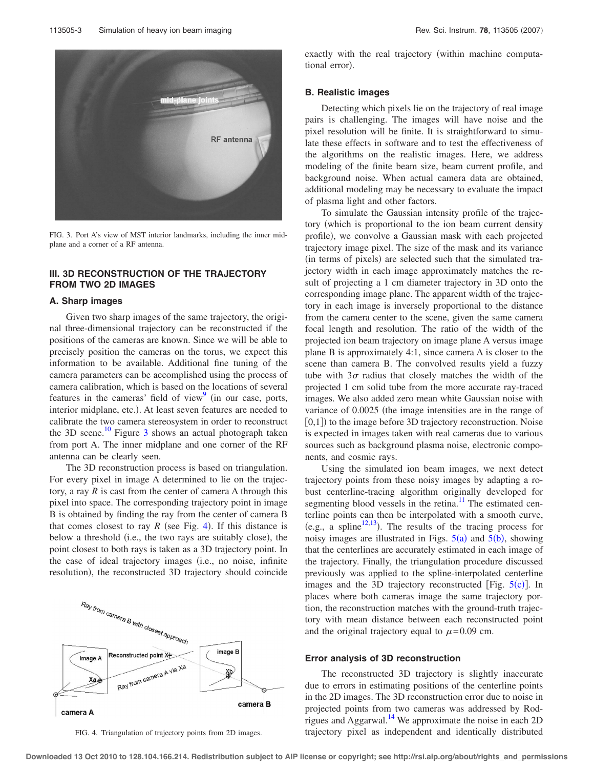<span id="page-2-0"></span>

FIG. 3. Port A's view of MST interior landmarks, including the inner midplane and a corner of a RF antenna.

# **III. 3D RECONSTRUCTION OF THE TRAJECTORY FROM TWO 2D IMAGES**

#### **A. Sharp images**

Given two sharp images of the same trajectory, the original three-dimensional trajectory can be reconstructed if the positions of the cameras are known. Since we will be able to precisely position the cameras on the torus, we expect this information to be available. Additional fine tuning of the camera parameters can be accomplished using the process of camera calibration, which is based on the locations of several features in the cameras' field of view $\frac{9}{2}$  (in our case, ports, interior midplane, etc.). At least seven features are needed to calibrate the two camera stereosystem in order to reconstruct the [3](#page-2-0)D scene.<sup>10</sup> Figure 3 shows an actual photograph taken from port A. The inner midplane and one corner of the RF antenna can be clearly seen.

The 3D reconstruction process is based on triangulation. For every pixel in image A determined to lie on the trajectory, a ray  $R$  is cast from the center of camera A through this pixel into space. The corresponding trajectory point in image B is obtained by finding the ray from the center of camera B that comes closest to ray  $R$  (see Fig. [4](#page-2-1)). If this distance is below a threshold (i.e., the two rays are suitably close), the point closest to both rays is taken as a 3D trajectory point. In the case of ideal trajectory images (i.e., no noise, infinite resolution), the reconstructed 3D trajectory should coincide

<span id="page-2-1"></span>

FIG. 4. Triangulation of trajectory points from 2D images.

exactly with the real trajectory (within machine computational error).

#### **B. Realistic images**

Detecting which pixels lie on the trajectory of real image pairs is challenging. The images will have noise and the pixel resolution will be finite. It is straightforward to simulate these effects in software and to test the effectiveness of the algorithms on the realistic images. Here, we address modeling of the finite beam size, beam current profile, and background noise. When actual camera data are obtained, additional modeling may be necessary to evaluate the impact of plasma light and other factors.

To simulate the Gaussian intensity profile of the trajectory (which is proportional to the ion beam current density profile), we convolve a Gaussian mask with each projected trajectory image pixel. The size of the mask and its variance (in terms of pixels) are selected such that the simulated trajectory width in each image approximately matches the result of projecting a 1 cm diameter trajectory in 3D onto the corresponding image plane. The apparent width of the trajectory in each image is inversely proportional to the distance from the camera center to the scene, given the same camera focal length and resolution. The ratio of the width of the projected ion beam trajectory on image plane A versus image plane B is approximately 4:1, since camera A is closer to the scene than camera B. The convolved results yield a fuzzy tube with  $3\sigma$  radius that closely matches the width of the projected 1 cm solid tube from the more accurate ray-traced images. We also added zero mean white Gaussian noise with variance of 0.0025 (the image intensities are in the range of  $[0,1]$ ) to the image before 3D trajectory reconstruction. Noise is expected in images taken with real cameras due to various sources such as background plasma noise, electronic components, and cosmic rays.

Using the simulated ion beam images, we next detect trajectory points from these noisy images by adapting a robust centerline-tracing algorithm originally developed for segmenting blood vessels in the retina.<sup>11</sup> The estimated centerline points can then be interpolated with a smooth curve, (e.g., a spline<sup>12,[13](#page-5-12)</sup>). The results of the tracing process for noisy images are illustrated in Figs.  $5(a)$  $5(a)$  and  $5(b)$ , showing that the centerlines are accurately estimated in each image of the trajectory. Finally, the triangulation procedure discussed previously was applied to the spline-interpolated centerline images and the 3D trajectory reconstructed [Fig.  $5(c)$  $5(c)$ ]. In places where both cameras image the same trajectory portion, the reconstruction matches with the ground-truth trajectory with mean distance between each reconstructed point and the original trajectory equal to  $\mu$ =0.09 cm.

#### **Error analysis of 3D reconstruction**

The reconstructed 3D trajectory is slightly inaccurate due to errors in estimating positions of the centerline points in the 2D images. The 3D reconstruction error due to noise in projected points from two cameras was addressed by Rodrigues and Aggarwal.<sup>14</sup> We approximate the noise in each 2D trajectory pixel as independent and identically distributed

**Downloaded 13 Oct 2010 to 128.104.166.214. Redistribution subject to AIP license or copyright; see http://rsi.aip.org/about/rights\_and\_permissions**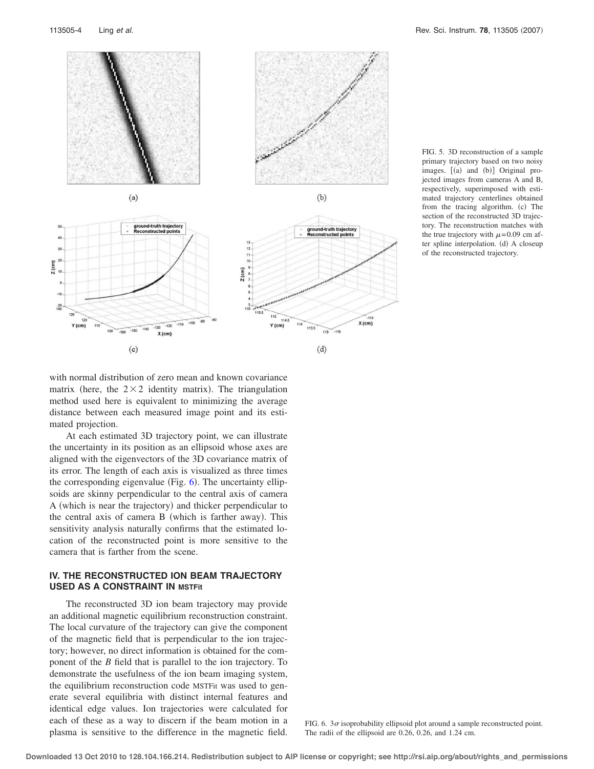<span id="page-3-0"></span>



<span id="page-3-1"></span>with normal distribution of zero mean and known covariance matrix (here, the  $2 \times 2$  identity matrix). The triangulation method used here is equivalent to minimizing the average distance between each measured image point and its estimated projection.

At each estimated 3D trajectory point, we can illustrate the uncertainty in its position as an ellipsoid whose axes are aligned with the eigenvectors of the 3D covariance matrix of its error. The length of each axis is visualized as three times the corresponding eigenvalue (Fig.  $6$ ). The uncertainty ellipsoids are skinny perpendicular to the central axis of camera A (which is near the trajectory) and thicker perpendicular to the central axis of camera B (which is farther away). This sensitivity analysis naturally confirms that the estimated location of the reconstructed point is more sensitive to the camera that is farther from the scene.

# **IV. THE RECONSTRUCTED ION BEAM TRAJECTORY USED AS A CONSTRAINT IN MSTFit**

The reconstructed 3D ion beam trajectory may provide an additional magnetic equilibrium reconstruction constraint. The local curvature of the trajectory can give the component of the magnetic field that is perpendicular to the ion trajectory; however, no direct information is obtained for the component of the *B* field that is parallel to the ion trajectory. To demonstrate the usefulness of the ion beam imaging system, the equilibrium reconstruction code MSTFit was used to generate several equilibria with distinct internal features and identical edge values. Ion trajectories were calculated for each of these as a way to discern if the beam motion in a plasma is sensitive to the difference in the magnetic field.

FIG. 6.  $3\sigma$  isoprobability ellipsoid plot around a sample reconstructed point. The radii of the ellipsoid are 0.26, 0.26, and 1.24 cm.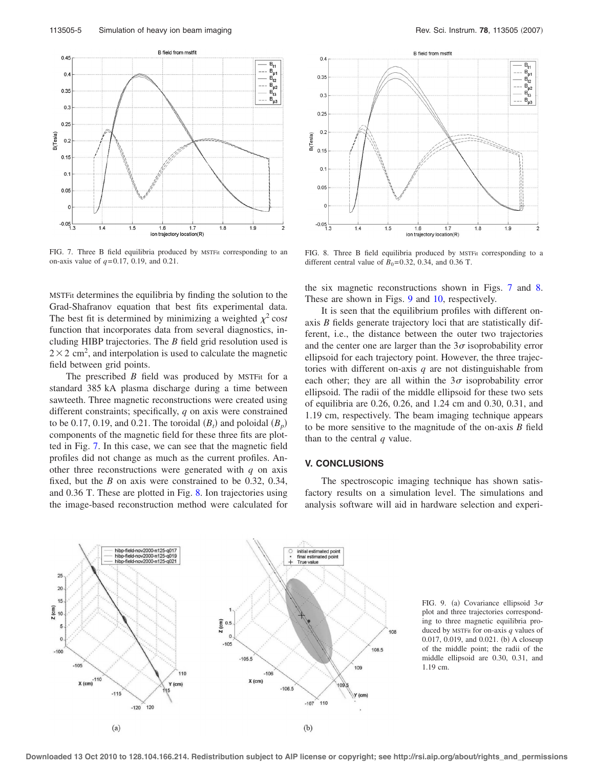<span id="page-4-0"></span>

FIG. 7. Three B field equilibria produced by MSTFit corresponding to an on-axis value of *q*= 0.17, 0.19, and 0.21.

MSTFit determines the equilibria by finding the solution to the Grad-Shafranov equation that best fits experimental data. The best fit is determined by minimizing a weighted  $\chi^2$  cost function that incorporates data from several diagnostics, including HIBP trajectories. The *B* field grid resolution used is  $2 \times 2$  cm<sup>2</sup>, and interpolation is used to calculate the magnetic field between grid points.

The prescribed *B* field was produced by MSTFit for a standard 385 kA plasma discharge during a time between sawteeth. Three magnetic reconstructions were created using different constraints; specifically, *q* on axis were constrained to be 0.17, 0.19, and 0.21. The toroidal  $(B_t)$  and poloidal  $(B_p)$ components of the magnetic field for these three fits are plotted in Fig. [7.](#page-4-0) In this case, we can see that the magnetic field profiles did not change as much as the current profiles. Another three reconstructions were generated with  $q$  on axis fixed, but the *B* on axis were constrained to be 0.32, 0.34, and 0.36 T. These are plotted in Fig. [8.](#page-4-1) Ion trajectories using the image-based reconstruction method were calculated for

<span id="page-4-1"></span>

FIG. 8. Three B field equilibria produced by MSTFit corresponding to a different central value of  $B_0 = 0.32$ , 0.34, and 0.36 T.

the six magnetic reconstructions shown in Figs. [7](#page-4-0) and [8.](#page-4-1) These are shown in Figs. [9](#page-4-2) and [10,](#page-5-14) respectively.

It is seen that the equilibrium profiles with different onaxis *B* fields generate trajectory loci that are statistically different, i.e., the distance between the outer two trajectories and the center one are larger than the  $3\sigma$  isoprobability error ellipsoid for each trajectory point. However, the three trajectories with different on-axis *q* are not distinguishable from each other; they are all within the  $3\sigma$  isoprobability error ellipsoid. The radii of the middle ellipsoid for these two sets of equilibria are 0.26, 0.26, and 1.24 cm and 0.30, 0.31, and 1.19 cm, respectively. The beam imaging technique appears to be more sensitive to the magnitude of the on-axis *B* field than to the central *q* value.

### **V. CONCLUSIONS**

The spectroscopic imaging technique has shown satisfactory results on a simulation level. The simulations and analysis software will aid in hardware selection and experi-

<span id="page-4-2"></span>

FIG. 9. (a) Covariance ellipsoid  $3\sigma$ plot and three trajectories corresponding to three magnetic equilibria produced by MSTFit for on-axis *q* values of 0.017, 0.019, and 0.021. (b) A closeup of the middle point; the radii of the middle ellipsoid are 0.30, 0.31, and 1.19 cm.